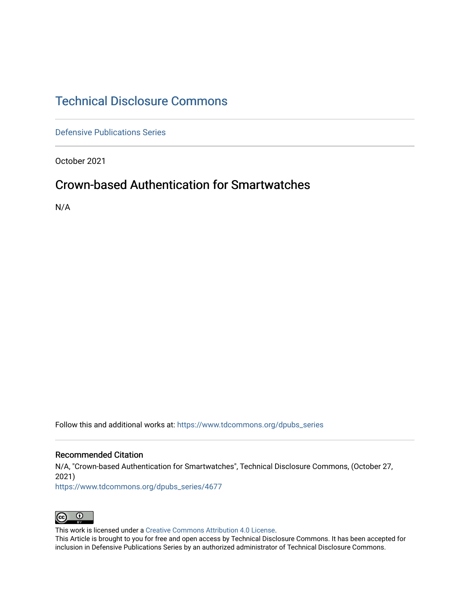## [Technical Disclosure Commons](https://www.tdcommons.org/)

[Defensive Publications Series](https://www.tdcommons.org/dpubs_series)

October 2021

# Crown-based Authentication for Smartwatches

N/A

Follow this and additional works at: [https://www.tdcommons.org/dpubs\\_series](https://www.tdcommons.org/dpubs_series?utm_source=www.tdcommons.org%2Fdpubs_series%2F4677&utm_medium=PDF&utm_campaign=PDFCoverPages) 

#### Recommended Citation

N/A, "Crown-based Authentication for Smartwatches", Technical Disclosure Commons, (October 27, 2021)

[https://www.tdcommons.org/dpubs\\_series/4677](https://www.tdcommons.org/dpubs_series/4677?utm_source=www.tdcommons.org%2Fdpubs_series%2F4677&utm_medium=PDF&utm_campaign=PDFCoverPages)



This work is licensed under a [Creative Commons Attribution 4.0 License](http://creativecommons.org/licenses/by/4.0/deed.en_US).

This Article is brought to you for free and open access by Technical Disclosure Commons. It has been accepted for inclusion in Defensive Publications Series by an authorized administrator of Technical Disclosure Commons.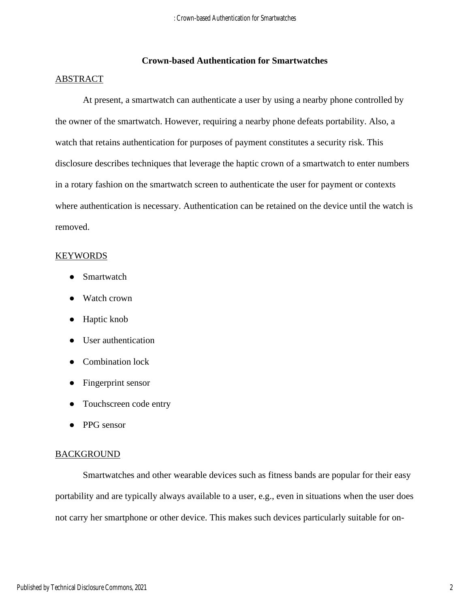## **Crown-based Authentication for Smartwatches**

### ABSTRACT

At present, a smartwatch can authenticate a user by using a nearby phone controlled by the owner of the smartwatch. However, requiring a nearby phone defeats portability. Also, a watch that retains authentication for purposes of payment constitutes a security risk. This disclosure describes techniques that leverage the haptic crown of a smartwatch to enter numbers in a rotary fashion on the smartwatch screen to authenticate the user for payment or contexts where authentication is necessary. Authentication can be retained on the device until the watch is removed.

#### KEYWORDS

- Smartwatch
- Watch crown
- Haptic knob
- User authentication
- Combination lock
- Fingerprint sensor
- Touchscreen code entry
- PPG sensor

#### **BACKGROUND**

Smartwatches and other wearable devices such as fitness bands are popular for their easy portability and are typically always available to a user, e.g., even in situations when the user does not carry her smartphone or other device. This makes such devices particularly suitable for on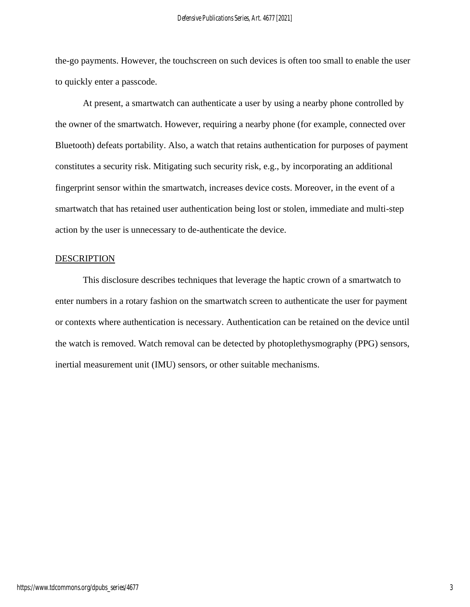the-go payments. However, the touchscreen on such devices is often too small to enable the user to quickly enter a passcode.

At present, a smartwatch can authenticate a user by using a nearby phone controlled by the owner of the smartwatch. However, requiring a nearby phone (for example, connected over Bluetooth) defeats portability. Also, a watch that retains authentication for purposes of payment constitutes a security risk. Mitigating such security risk, e.g., by incorporating an additional fingerprint sensor within the smartwatch, increases device costs. Moreover, in the event of a smartwatch that has retained user authentication being lost or stolen, immediate and multi-step action by the user is unnecessary to de-authenticate the device.

## DESCRIPTION

This disclosure describes techniques that leverage the haptic crown of a smartwatch to enter numbers in a rotary fashion on the smartwatch screen to authenticate the user for payment or contexts where authentication is necessary. Authentication can be retained on the device until the watch is removed. Watch removal can be detected by photoplethysmography (PPG) sensors, inertial measurement unit (IMU) sensors, or other suitable mechanisms.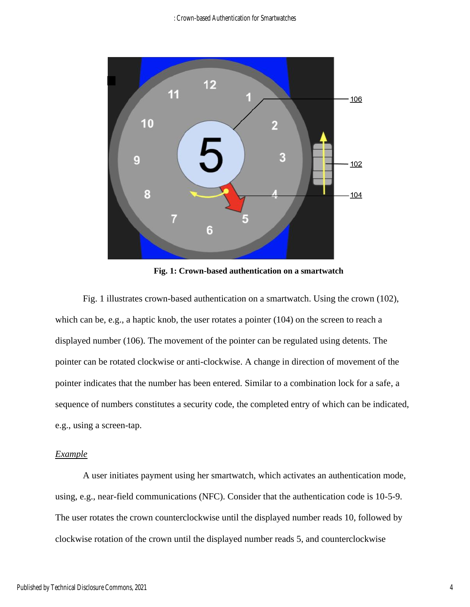

**Fig. 1: Crown-based authentication on a smartwatch**

Fig. 1 illustrates crown-based authentication on a smartwatch. Using the crown (102), which can be, e.g., a haptic knob, the user rotates a pointer (104) on the screen to reach a displayed number (106). The movement of the pointer can be regulated using detents. The pointer can be rotated clockwise or anti-clockwise. A change in direction of movement of the pointer indicates that the number has been entered. Similar to a combination lock for a safe, a sequence of numbers constitutes a security code, the completed entry of which can be indicated, e.g., using a screen-tap.

#### *Example*

A user initiates payment using her smartwatch, which activates an authentication mode, using, e.g., near-field communications (NFC). Consider that the authentication code is 10-5-9. The user rotates the crown counterclockwise until the displayed number reads 10, followed by clockwise rotation of the crown until the displayed number reads 5, and counterclockwise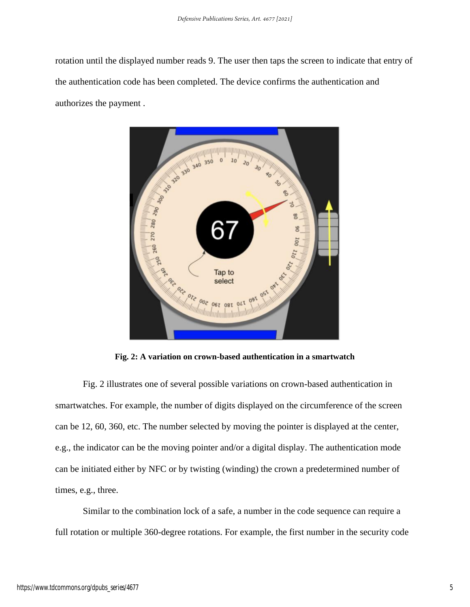rotation until the displayed number reads 9. The user then taps the screen to indicate that entry of the authentication code has been completed. The device confirms the authentication and authorizes the payment .



**Fig. 2: A variation on crown-based authentication in a smartwatch**

Fig. 2 illustrates one of several possible variations on crown-based authentication in smartwatches. For example, the number of digits displayed on the circumference of the screen can be 12, 60, 360, etc. The number selected by moving the pointer is displayed at the center, e.g., the indicator can be the moving pointer and/or a digital display. The authentication mode can be initiated either by NFC or by twisting (winding) the crown a predetermined number of times, e.g., three.

Similar to the combination lock of a safe, a number in the code sequence can require a full rotation or multiple 360-degree rotations. For example, the first number in the security code